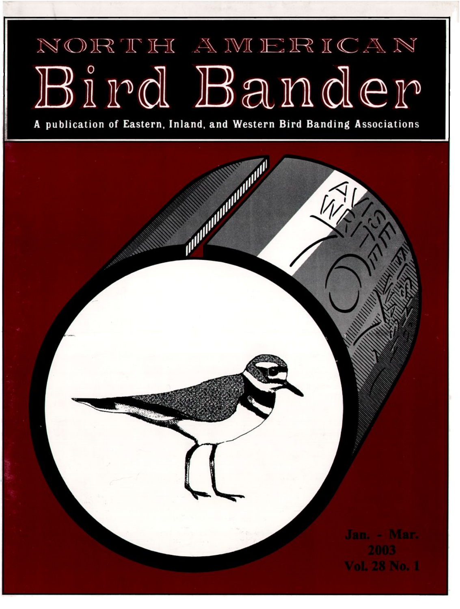## NORTH AMERICAN Bird Bander

A publication of Eastern, Inland, and Western Bird Banding Associations